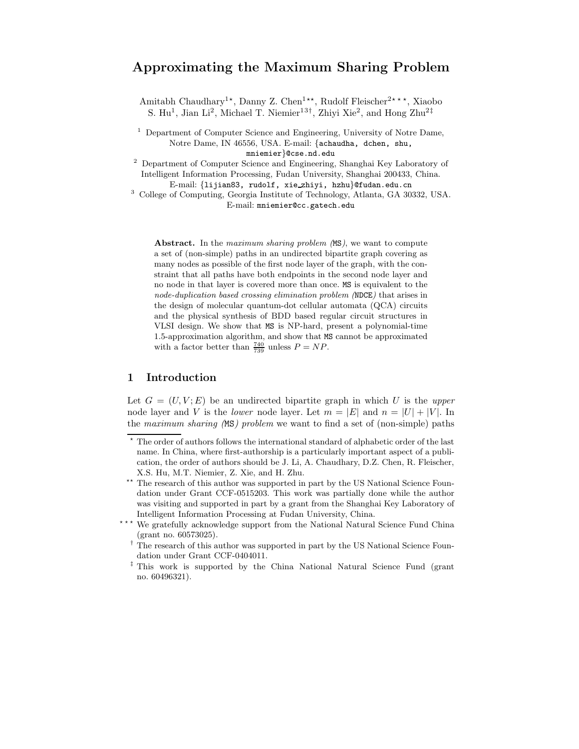# Approximating the Maximum Sharing Problem

Amitabh Chaudhary<sup>1</sup><sup>★</sup>, Danny Z. Chen<sup>1</sup><sup>★★</sup>, Rudolf Fleischer<sup>2★★★</sup>, Xiaobo S. Hu<sup>1</sup>, Jian Li<sup>2</sup>, Michael T. Niemier<sup>13†</sup>, Zhiyi Xie<sup>2</sup>, and Hong Zhu<sup>2‡</sup>

<sup>1</sup> Department of Computer Science and Engineering, University of Notre Dame, Notre Dame, IN 46556, USA. E-mail: {achaudha, dchen, shu, mniemier}@cse.nd.edu

<sup>2</sup> Department of Computer Science and Engineering, Shanghai Key Laboratory of Intelligent Information Processing, Fudan University, Shanghai 200433, China. E-mail: {lijian83, rudolf, xie zhiyi, hzhu}@fudan.edu.cn

<sup>3</sup> College of Computing, Georgia Institute of Technology, Atlanta, GA 30332, USA. E-mail: mniemier@cc.gatech.edu

Abstract. In the maximum sharing problem (MS), we want to compute a set of (non-simple) paths in an undirected bipartite graph covering as many nodes as possible of the first node layer of the graph, with the constraint that all paths have both endpoints in the second node layer and no node in that layer is covered more than once. MS is equivalent to the node-duplication based crossing elimination problem (NDCE) that arises in the design of molecular quantum-dot cellular automata (QCA) circuits and the physical synthesis of BDD based regular circuit structures in VLSI design. We show that MS is NP-hard, present a polynomial-time 1.5-approximation algorithm, and show that MS cannot be approximated with a factor better than  $\frac{740}{739}$  unless  $P = NP$ .

### 1 Introduction

Let  $G = (U, V; E)$  be an undirected bipartite graph in which U is the upper node layer and V is the *lower* node layer. Let  $m = |E|$  and  $n = |U| + |V|$ . In the maximum sharing (MS) problem we want to find a set of (non-simple) paths

The order of authors follows the international standard of alphabetic order of the last name. In China, where first-authorship is a particularly important aspect of a publication, the order of authors should be J. Li, A. Chaudhary, D.Z. Chen, R. Fleischer, X.S. Hu, M.T. Niemier, Z. Xie, and H. Zhu.

 $^{\star\star}$  The research of this author was supported in part by the US National Science Foundation under Grant CCF-0515203. This work was partially done while the author was visiting and supported in part by a grant from the Shanghai Key Laboratory of Intelligent Information Processing at Fudan University, China.

**<sup>&</sup>lt;sup>\*\*\*</sup>** We gratefully acknowledge support from the National Natural Science Fund China (grant no. 60573025).

<sup>†</sup> The research of this author was supported in part by the US National Science Foundation under Grant CCF-0404011.

<sup>‡</sup> This work is supported by the China National Natural Science Fund (grant no. 60496321).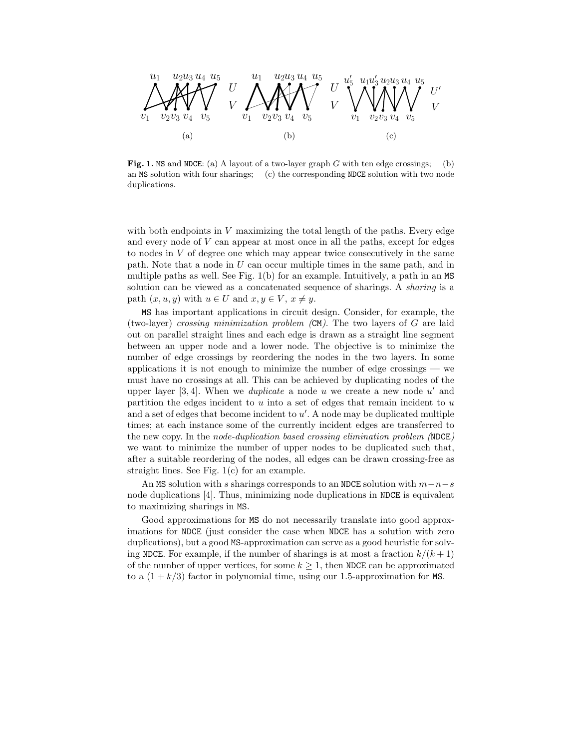

**Fig. 1.** MS and NDCE: (a) A layout of a two-layer graph G with ten edge crossings; (b) an MS solution with four sharings; (c) the corresponding NDCE solution with two node duplications.

with both endpoints in  $V$  maximizing the total length of the paths. Every edge and every node of V can appear at most once in all the paths, except for edges to nodes in  $V$  of degree one which may appear twice consecutively in the same path. Note that a node in U can occur multiple times in the same path, and in multiple paths as well. See Fig. 1(b) for an example. Intuitively, a path in an MS solution can be viewed as a concatenated sequence of sharings. A sharing is a path  $(x, u, y)$  with  $u \in U$  and  $x, y \in V$ ,  $x \neq y$ .

MS has important applications in circuit design. Consider, for example, the (two-layer) crossing minimization problem  $(CM)$ . The two layers of G are laid out on parallel straight lines and each edge is drawn as a straight line segment between an upper node and a lower node. The objective is to minimize the number of edge crossings by reordering the nodes in the two layers. In some applications it is not enough to minimize the number of edge crossings  $-$  we must have no crossings at all. This can be achieved by duplicating nodes of the upper layer [3, 4]. When we *duplicate* a node  $u$  we create a new node  $u'$  and partition the edges incident to  $u$  into a set of edges that remain incident to  $u$ and a set of edges that become incident to  $u'$ . A node may be duplicated multiple times; at each instance some of the currently incident edges are transferred to the new copy. In the node-duplication based crossing elimination problem (NDCE) we want to minimize the number of upper nodes to be duplicated such that, after a suitable reordering of the nodes, all edges can be drawn crossing-free as straight lines. See Fig. 1(c) for an example.

An MS solution with s sharings corresponds to an NDCE solution with  $m-n-s$ node duplications [4]. Thus, minimizing node duplications in NDCE is equivalent to maximizing sharings in MS.

Good approximations for MS do not necessarily translate into good approximations for NDCE (just consider the case when NDCE has a solution with zero duplications), but a good MS-approximation can serve as a good heuristic for solving NDCE. For example, if the number of sharings is at most a fraction  $k/(k+1)$ of the number of upper vertices, for some  $k \geq 1$ , then NDCE can be approximated to a  $(1 + k/3)$  factor in polynomial time, using our 1.5-approximation for MS.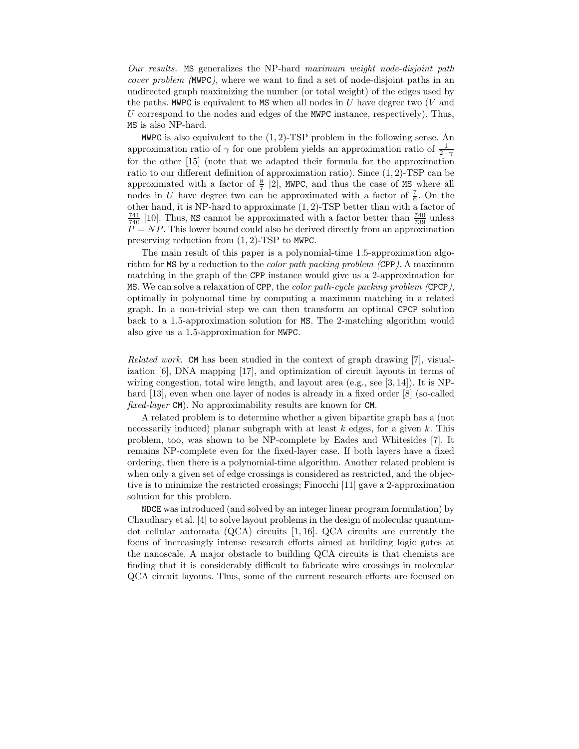Our results. MS generalizes the NP-hard maximum weight node-disjoint path cover problem (MWPC), where we want to find a set of node-disjoint paths in an undirected graph maximizing the number (or total weight) of the edges used by the paths. MWPC is equivalent to MS when all nodes in  $U$  have degree two  $(V$  and  $U$  correspond to the nodes and edges of the  $MWC$  instance, respectively). Thus, MS is also NP-hard.

MWPC is also equivalent to the  $(1, 2)$ -TSP problem in the following sense. An approximation ratio of  $\gamma$  for one problem yields an approximation ratio of  $\frac{1}{2-\gamma}$ for the other [15] (note that we adapted their formula for the approximation ratio to our different definition of approximation ratio). Since (1, 2)-TSP can be approximated with a factor of  $\frac{8}{7}$  [2], MWPC, and thus the case of MS where all nodes in U have degree two can be approximated with a factor of  $\frac{7}{6}$ . On the other hand, it is NP-hard to approximate (1, 2)-TSP better than with a factor of  $\frac{741}{740}$  [10]. Thus, MS cannot be approximated with a factor better than  $\frac{740}{739}$  unless  $P = NP$ . This lower bound could also be derived directly from an approximation preserving reduction from (1, 2)-TSP to MWPC.

The main result of this paper is a polynomial-time 1.5-approximation algorithm for MS by a reduction to the color path packing problem (CPP). A maximum matching in the graph of the CPP instance would give us a 2-approximation for MS. We can solve a relaxation of CPP, the color path-cycle packing problem (CPCP), optimally in polynomal time by computing a maximum matching in a related graph. In a non-trivial step we can then transform an optimal CPCP solution back to a 1.5-approximation solution for MS. The 2-matching algorithm would also give us a 1.5-approximation for MWPC.

Related work. CM has been studied in the context of graph drawing [7], visualization [6], DNA mapping [17], and optimization of circuit layouts in terms of wiring congestion, total wire length, and layout area (e.g., see [3, 14]). It is NPhard [13], even when one layer of nodes is already in a fixed order [8] (so-called fixed-layer CM). No approximability results are known for CM.

A related problem is to determine whether a given bipartite graph has a (not necessarily induced) planar subgraph with at least  $k$  edges, for a given  $k$ . This problem, too, was shown to be NP-complete by Eades and Whitesides [7]. It remains NP-complete even for the fixed-layer case. If both layers have a fixed ordering, then there is a polynomial-time algorithm. Another related problem is when only a given set of edge crossings is considered as restricted, and the objective is to minimize the restricted crossings; Finocchi [11] gave a 2-approximation solution for this problem.

NDCE was introduced (and solved by an integer linear program formulation) by Chaudhary et al. [4] to solve layout problems in the design of molecular quantumdot cellular automata (QCA) circuits [1, 16]. QCA circuits are currently the focus of increasingly intense research efforts aimed at building logic gates at the nanoscale. A major obstacle to building QCA circuits is that chemists are finding that it is considerably difficult to fabricate wire crossings in molecular QCA circuit layouts. Thus, some of the current research efforts are focused on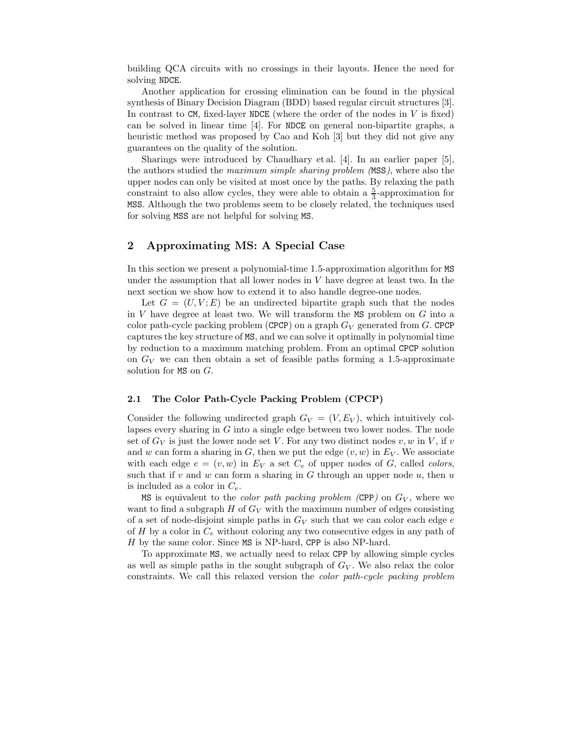building QCA circuits with no crossings in their layouts. Hence the need for solving NDCE.

Another application for crossing elimination can be found in the physical synthesis of Binary Decision Diagram (BDD) based regular circuit structures [3]. In contrast to  $CM$ , fixed-layer NDCE (where the order of the nodes in  $V$  is fixed) can be solved in linear time [4]. For NDCE on general non-bipartite graphs, a heuristic method was proposed by Cao and Koh [3] but they did not give any guarantees on the quality of the solution.

Sharings were introduced by Chaudhary et al. [4]. In an earlier paper [5], the authors studied the maximum simple sharing problem (MSS), where also the upper nodes can only be visited at most once by the paths. By relaxing the path constraint to also allow cycles, they were able to obtain a  $\frac{5}{3}$ -approximation for MSS. Although the two problems seem to be closely related, the techniques used for solving MSS are not helpful for solving MS.

# 2 Approximating MS: A Special Case

In this section we present a polynomial-time 1.5-approximation algorithm for MS under the assumption that all lower nodes in  $V$  have degree at least two. In the next section we show how to extend it to also handle degree-one nodes.

Let  $G = (U, V; E)$  be an undirected bipartite graph such that the nodes in V have degree at least two. We will transform the  $MS$  problem on  $G$  into a color path-cycle packing problem (CPCP) on a graph  $G_V$  generated from  $G$ . CPCP captures the key structure of MS, and we can solve it optimally in polynomial time by reduction to a maximum matching problem. From an optimal CPCP solution on  $G_V$  we can then obtain a set of feasible paths forming a 1.5-approximate solution for MS on G.

#### 2.1 The Color Path-Cycle Packing Problem (CPCP)

Consider the following undirected graph  $G_V = (V, E_V)$ , which intuitively collapses every sharing in G into a single edge between two lower nodes. The node set of  $G_V$  is just the lower node set V. For any two distinct nodes  $v, w$  in V, if v and w can form a sharing in G, then we put the edge  $(v, w)$  in  $E_V$ . We associate with each edge  $e = (v, w)$  in  $E_V$  a set  $C_e$  of upper nodes of G, called *colors*, such that if  $v$  and  $w$  can form a sharing in  $G$  through an upper node  $u$ , then  $u$ is included as a color in  $C_e$ .

MS is equivalent to the *color path packing problem* (CPP) on  $G_V$ , where we want to find a subgraph  $H$  of  $G_V$  with the maximum number of edges consisting of a set of node-disjoint simple paths in  $G_V$  such that we can color each edge  $e$ of H by a color in  $C_e$  without coloring any two consecutive edges in any path of  $H$  by the same color. Since  $MS$  is NP-hard, CPP is also NP-hard.

To approximate MS, we actually need to relax CPP by allowing simple cycles as well as simple paths in the sought subgraph of  $G_V$ . We also relax the color constraints. We call this relaxed version the color path-cycle packing problem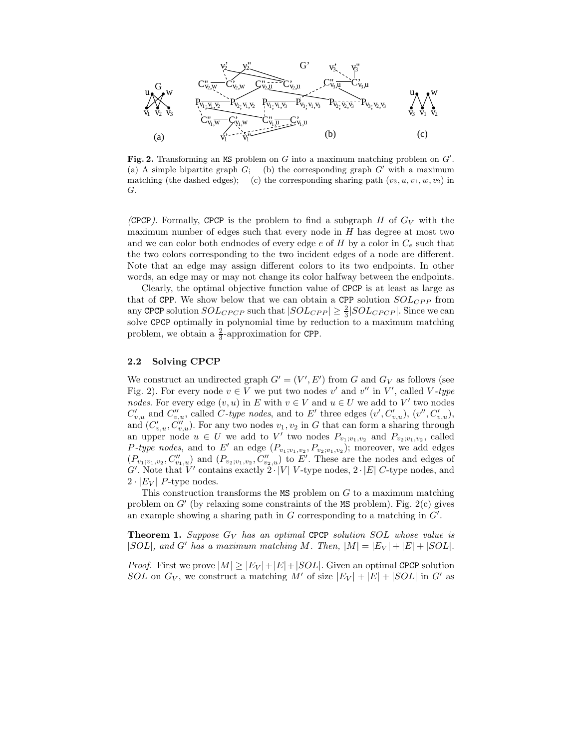

Fig. 2. Transforming an MS problem on  $G$  into a maximum matching problem on  $G'$ . (a) A simple bipartite graph  $G$ ; (b) the corresponding graph  $G'$  with a maximum matching (the dashed edges); (c) the corresponding sharing path  $(v_3, u, v_1, w, v_2)$  in G.

(CPCP). Formally, CPCP is the problem to find a subgraph H of  $G_V$  with the maximum number of edges such that every node in  $H$  has degree at most two and we can color both endnodes of every edge  $e$  of H by a color in  $C_e$  such that the two colors corresponding to the two incident edges of a node are different. Note that an edge may assign different colors to its two endpoints. In other words, an edge may or may not change its color halfway between the endpoints.

Clearly, the optimal objective function value of CPCP is at least as large as that of CPP. We show below that we can obtain a CPP solution  $SOL_{CPP}$  from any CPCP solution  $SOL_{CPCP}$  such that  $|SOL_{CPP}| \geq \frac{2}{3}|SOL_{CPCP}|$ . Since we can solve CPCP optimally in polynomial time by reduction to a maximum matching problem, we obtain a  $\frac{2}{3}$ -approximation for CPP.

#### 2.2 Solving CPCP

We construct an undirected graph  $G' = (V', E')$  from G and  $G_V$  as follows (see Fig. 2). For every node  $v \in V$  we put two nodes v' and v'' in V', called V-type nodes. For every edge  $(v, u)$  in E with  $v \in V$  and  $u \in U$  we add to V' two nodes  $C'_{v,u}$  and  $C''_{v,u}$ , called C-type nodes, and to E' three edges  $(v', C'_{v,u})$ ,  $(v'', C'_{v,u})$ , and  $(C'_{v,u}, C''_{v,u})$ . For any two nodes  $v_1, v_2$  in G that can form a sharing through an upper node  $u \in U$  we add to V' two nodes  $P_{v_1; v_1, v_2}$  and  $P_{v_2; v_1, v_2}$ , called P-type nodes, and to E' an edge  $(P_{v_1; v_1, v_2}, P_{v_2; v_1, v_2})$ ; moreover, we add edges  $(P_{v_1;v_1,v_2}, C''_{v_1,u})$  and  $(P_{v_2;v_1,v_2}, C''_{v_2,u})$  to E'. These are the nodes and edges of G'. Note that V' contains exactly  $2 \cdot |V|$  V-type nodes,  $2 \cdot |E|$  C-type nodes, and  $2 \cdot |E_V|$  *P*-type nodes.

This construction transforms the  $MS$  problem on  $G$  to a maximum matching problem on  $G'$  (by relaxing some constraints of the MS problem). Fig.  $2(c)$  gives an example showing a sharing path in  $G$  corresponding to a matching in  $G'$ .

**Theorem 1.** Suppose  $G_V$  has an optimal CPCP solution  $SOL$  whose value is  $|SOL|$ , and G' has a maximum matching M. Then,  $|M| = |E_V| + |E| + |SOL|$ .

*Proof.* First we prove  $|M| \geq |E_V| + |E| + |SOL|$ . Given an optimal CPCP solution SOL on  $G_V$ , we construct a matching M' of size  $|E_V| + |E| + |SOL|$  in G' as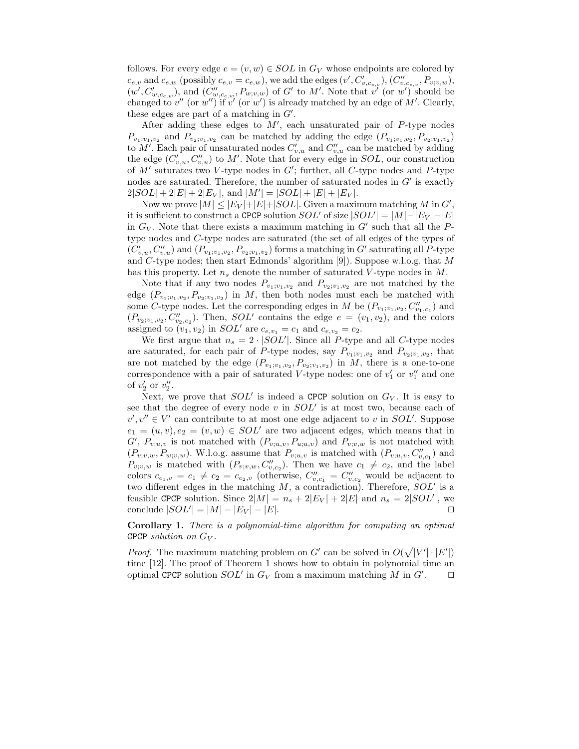follows. For every edge  $e = (v, w) \in SOL$  in  $G_V$  whose endpoints are colored by  $c_{e,v}$  and  $c_{e,w}$  (possibly  $c_{e,v} = c_{e,w}$ ), we add the edges  $(v', C'_{v, c_{e,v}})$ ,  $(C''_{v, c_{e,v}}, P_{v; v, w})$ ,  $(w', C'_{w,c_{e,w}})$ , and  $(C''_{w,c_{e,w}}, P_{w,v,w})$  of G' to M'. Note that  $v'$  (or  $w'$ ) should be changed to  $v''$  (or  $w''$ ) if  $v'$  (or  $w'$ ) is already matched by an edge of M'. Clearly, these edges are part of a matching in  $G'$ .

After adding these edges to  $M'$ , each unsaturated pair of  $P$ -type nodes  $P_{v_1,v_1,v_2}$  and  $P_{v_2; v_1,v_2}$  can be matched by adding the edge  $(P_{v_1; v_1,v_2}, P_{v_2; v_1,v_2})$ to M'. Each pair of unsaturated nodes  $C'_{v,u}$  and  $C''_{v,u}$  can be matched by adding the edge  $(C'_{v,u}, C''_{v,u})$  to M'. Note that for every edge in  $SOL$ , our construction of M′ saturates two V -type nodes in G′ ; further, all C-type nodes and P-type nodes are saturated. Therefore, the number of saturated nodes in  $G'$  is exactly  $2|SOL| + 2|E| + 2|E_V|$ , and  $|M'| = |SOL| + |E| + |E_V|$ .

Now we prove  $|M| \leq |E_V| + |E| + |SOL|$ . Given a maximum matching M in  $G'$ , it is sufficient to construct a CPCP solution  $SOL'$  of size  $|SOL'| = |M|-|E_V|-|E|$ in  $G_V$ . Note that there exists a maximum matching in  $G'$  such that all the Ptype nodes and C-type nodes are saturated (the set of all edges of the types of  $(C'_{v,u}, C''_{v,u})$  and  $(P_{v_1;v_1,v_2}, P_{v_2;v_1,v_2})$  forms a matching in  $G'$  saturating all P-type and C-type nodes; then start Edmonds' algorithm [9]). Suppose w.l.o.g. that M has this property. Let  $n_s$  denote the number of saturated V-type nodes in M.

Note that if any two nodes  $P_{v_1;v_1,v_2}$  and  $P_{v_2;v_1,v_2}$  are not matched by the edge  $(P_{v_1; v_1, v_2}, P_{v_2; v_1, v_2})$  in M, then both nodes must each be matched with some C-type nodes. Let the corresponding edges in M be  $(P_{v_1; v_1, v_2}, C''_{v_1, c_1})$  and  $(P_{v_2; v_1, v_2}, C''_{v_2, c_2})$ . Then,  $SOL'$  contains the edge  $e = (v_1, v_2)$ , and the colors assigned to  $(v_1, v_2)$  in  $SOL'$  are  $c_{e,v_1} = c_1$  and  $c_{e,v_2} = c_2$ .

We first argue that  $n_s = 2 \cdot |SOL'|$ . Since all P-type and all C-type nodes are saturated, for each pair of P-type nodes, say  $P_{v_1; v_1, v_2}$  and  $P_{v_2; v_1, v_2}$ , that are not matched by the edge  $(P_{v_1;v_1,v_2}, P_{v_2;v_1,v_2})$  in M, there is a one-to-one correspondence with a pair of saturated V-type nodes: one of  $v'_1$  or  $v''_1$  and one of  $v_2'$  or  $v_2''$ .

Next, we prove that  $SOL'$  is indeed a CPCP solution on  $G_V$ . It is easy to see that the degree of every node  $v$  in  $SOL'$  is at most two, because each of  $v', v'' \in V'$  can contribute to at most one edge adjacent to v in  $SOL'$ . Suppose  $e_1 = (u, v), e_2 = (v, w) \in SOL'$  are two adjacent edges, which means that in  $G', P_{v;u,v}$  is not matched with  $(P_{v;u,v}, P_{u;u,v})$  and  $P_{v;v,w}$  is not matched with  $(P_{v,v,w}, P_{w,v,w})$ . W.l.o.g. assume that  $P_{v,u,v}$  is matched with  $(P_{v,u,v}, C''_{v,c_1})$  and  $P_{v;v,w}$  is matched with  $(P_{v;v,w}, C''_{v,c_2})$ . Then we have  $c_1 \neq c_2$ , and the label colors  $c_{e_1,v} = c_1 \neq c_2 = c_{e_2,v}$  (otherwise,  $C''_{v,c_1} = C''_{v,c_2}$  would be adjacent to two different edges in the matching  $M$ , a contradiction). Therefore,  $SOL'$  is a feasible CPCP solution. Since  $2|M| = n_s + 2|E_V| + 2|E|$  and  $n_s = 2|SOL'|$ , we conclude  $|SOL'| = |M| - |E_V| - |E|$ .

Corollary 1. There is a polynomial-time algorithm for computing an optimal CPCP solution on  $G_V$ .

*Proof.* The maximum matching problem on G' can be solved in  $O(\sqrt{|V'|} \cdot |E'|)$ time [12]. The proof of Theorem 1 shows how to obtain in polynomial time an optimal CPCP solution  $SOL'$  in  $G_V$  from a maximum matching M in  $G'$  $\Box$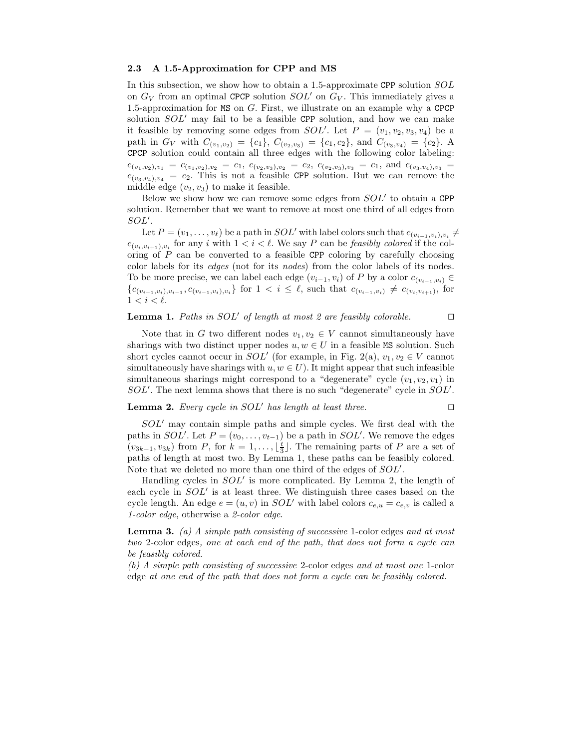### 2.3 A 1.5-Approximation for CPP and MS

In this subsection, we show how to obtain a 1.5-approximate CPP solution SOL on  $G_V$  from an optimal CPCP solution  $SOL'$  on  $G_V$ . This immediately gives a 1.5-approximation for MS on G. First, we illustrate on an example why a CPCP solution SOL′ may fail to be a feasible CPP solution, and how we can make it feasible by removing some edges from  $SOL'$ . Let  $P = (v_1, v_2, v_3, v_4)$  be a path in  $G_V$  with  $C_{(v_1,v_2)} = \{c_1\}$ ,  $C_{(v_2,v_3)} = \{c_1,c_2\}$ , and  $C_{(v_3,v_4)} = \{c_2\}$ . A CPCP solution could contain all three edges with the following color labeling:  $c_{(v_1,v_2),v_1} = c_{(v_1,v_2),v_2} = c_1, c_{(v_2,v_3),v_2} = c_2, c_{(v_2,v_3),v_3} = c_1$ , and  $c_{(v_3,v_4),v_3} =$  $c_{(v_3,v_4),v_4} = c_2$ . This is not a feasible CPP solution. But we can remove the middle edge  $(v_2, v_3)$  to make it feasible.

Below we show how we can remove some edges from  $SOL'$  to obtain a CPP solution. Remember that we want to remove at most one third of all edges from SOL′ .

Let  $P = (v_1, \ldots, v_\ell)$  be a path in  $SOL'$  with label colors such that  $c_{(v_{i-1}, v_i), v_i} \neq$  $c_{(v_i,v_{i+1}),v_i}$  for any i with  $1 \lt i \lt \ell$ . We say P can be feasibly colored if the coloring of  $P$  can be converted to a feasible CPP coloring by carefully choosing color labels for its edges (not for its nodes) from the color labels of its nodes. To be more precise, we can label each edge  $(v_{i-1}, v_i)$  of P by a color  $c_{(v_{i-1}, v_i)} \in$  ${c_{(v_{i-1},v_i),v_{i-1}},c_{(v_{i-1},v_i),v_i}}$  for  $1 < i \leq \ell$ , such that  $c_{(v_{i-1},v_i)} \neq c_{(v_i,v_{i+1})}$ , for  $1 < i < \ell$ .

### **Lemma 1.** Paths in SOL' of length at most 2 are feasibly colorable.  $□$

Note that in G two different nodes  $v_1, v_2 \in V$  cannot simultaneously have sharings with two distinct upper nodes  $u, w \in U$  in a feasible MS solution. Such short cycles cannot occur in  $SOL'$  (for example, in Fig. 2(a),  $v_1, v_2 \in V$  cannot simultaneously have sharings with  $u, w \in U$ ). It might appear that such infeasible simultaneous sharings might correspond to a "degenerate" cycle  $(v_1, v_2, v_1)$  in SOL'. The next lemma shows that there is no such "degenerate" cycle in SOL'.

**Lemma 2.** Every cycle in SOL′ has length at least three.  $□$ 

SOL′ may contain simple paths and simple cycles. We first deal with the paths in  $SOL'$ . Let  $P = (v_0, \ldots, v_{t-1})$  be a path in  $SOL'$ . We remove the edges  $(v_{3k-1}, v_{3k})$  from P, for  $k = 1, \ldots, \lfloor \frac{t}{3} \rfloor$ . The remaining parts of P are a set of paths of length at most two. By Lemma 1, these paths can be feasibly colored. Note that we deleted no more than one third of the edges of  $SOL'$ .

Handling cycles in  $SOL'$  is more complicated. By Lemma 2, the length of each cycle in  $SOL'$  is at least three. We distinguish three cases based on the cycle length. An edge  $e = (u, v)$  in  $SOL'$  with label colors  $c_{e,u} = c_{e,v}$  is called a 1-color edge, otherwise a 2-color edge.

**Lemma 3.** (a) A simple path consisting of successive 1-color edges and at most two 2-color edges, one at each end of the path, that does not form a cycle can be feasibly colored.

(b) A simple path consisting of successive 2-color edges and at most one 1-color edge at one end of the path that does not form a cycle can be feasibly colored.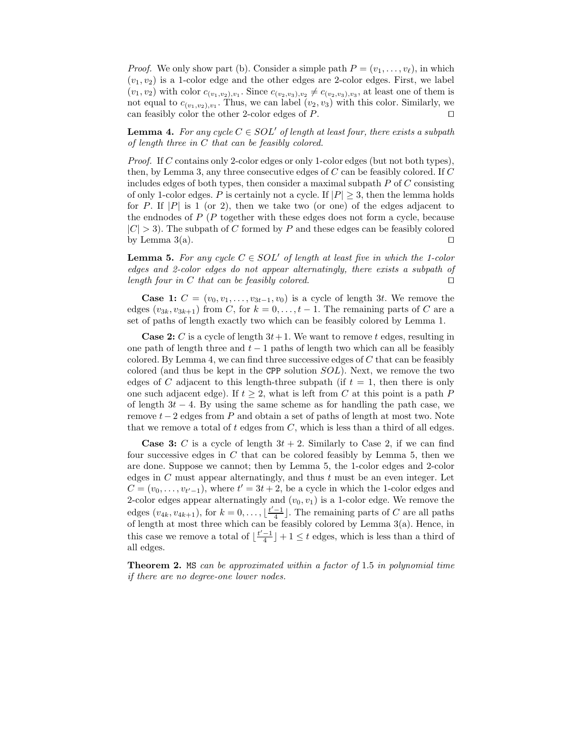*Proof.* We only show part (b). Consider a simple path  $P = (v_1, \ldots, v_\ell)$ , in which  $(v_1, v_2)$  is a 1-color edge and the other edges are 2-color edges. First, we label  $(v_1, v_2)$  with color  $c_{(v_1, v_2), v_1}$ . Since  $c_{(v_2, v_3), v_2} \neq c_{(v_2, v_3), v_3}$ , at least one of them is not equal to  $c_{(v_1, v_2), v_1}$ . Thus, we can label  $(v_2, v_3)$  with this color. Similarly, we can feasibly color the other 2-color edges of  $P$ .

**Lemma 4.** For any cycle  $C \in SOL'$  of length at least four, there exists a subpath of length three in C that can be feasibly colored.

Proof. If C contains only 2-color edges or only 1-color edges (but not both types), then, by Lemma 3, any three consecutive edges of C can be feasibly colored. If C includes edges of both types, then consider a maximal subpath  $P$  of  $C$  consisting of only 1-color edges. P is certainly not a cycle. If  $|P| > 3$ , then the lemma holds for P. If  $|P|$  is 1 (or 2), then we take two (or one) of the edges adjacent to the endnodes of  $P(P)$  together with these edges does not form a cycle, because  $|C| > 3$ . The subpath of C formed by P and these edges can be feasibly colored by Lemma 3(a). □

**Lemma 5.** For any cycle  $C \in SOL'$  of length at least five in which the 1-color edges and 2-color edges do not appear alternatingly, there exists a subpath of length four in C that can be feasibly colored.  $□$ 

**Case 1:**  $C = (v_0, v_1, \ldots, v_{3t-1}, v_0)$  is a cycle of length 3t. We remove the edges  $(v_{3k}, v_{3k+1})$  from C, for  $k = 0, \ldots, t-1$ . The remaining parts of C are a set of paths of length exactly two which can be feasibly colored by Lemma 1.

**Case 2:** C is a cycle of length  $3t+1$ . We want to remove t edges, resulting in one path of length three and  $t - 1$  paths of length two which can all be feasibly colored. By Lemma 4, we can find three successive edges of  $C$  that can be feasibly colored (and thus be kept in the CPP solution  $SOL$ ). Next, we remove the two edges of C adjacent to this length-three subpath (if  $t = 1$ , then there is only one such adjacent edge). If  $t \geq 2$ , what is left from C at this point is a path P of length  $3t - 4$ . By using the same scheme as for handling the path case, we remove  $t - 2$  edges from P and obtain a set of paths of length at most two. Note that we remove a total of t edges from  $C$ , which is less than a third of all edges.

**Case 3:** C is a cycle of length  $3t + 2$ . Similarly to Case 2, if we can find four successive edges in  $C$  that can be colored feasibly by Lemma 5, then we are done. Suppose we cannot; then by Lemma 5, the 1-color edges and 2-color edges in  $C$  must appear alternatingly, and thus  $t$  must be an even integer. Let  $C = (v_0, \ldots, v_{t'-1}),$  where  $t' = 3t + 2$ , be a cycle in which the 1-color edges and 2-color edges appear alternatingly and  $(v_0, v_1)$  is a 1-color edge. We remove the edges  $(v_{4k}, v_{4k+1})$ , for  $k = 0, \ldots, \lfloor \frac{t'-1}{4} \rfloor$ . The remaining parts of C are all paths of length at most three which can be feasibly colored by Lemma 3(a). Hence, in this case we remove a total of  $\lfloor \frac{t'-1}{4} \rfloor + 1 \leq t$  edges, which is less than a third of all edges.

Theorem 2. MS can be approximated within a factor of 1.5 in polynomial time if there are no degree-one lower nodes.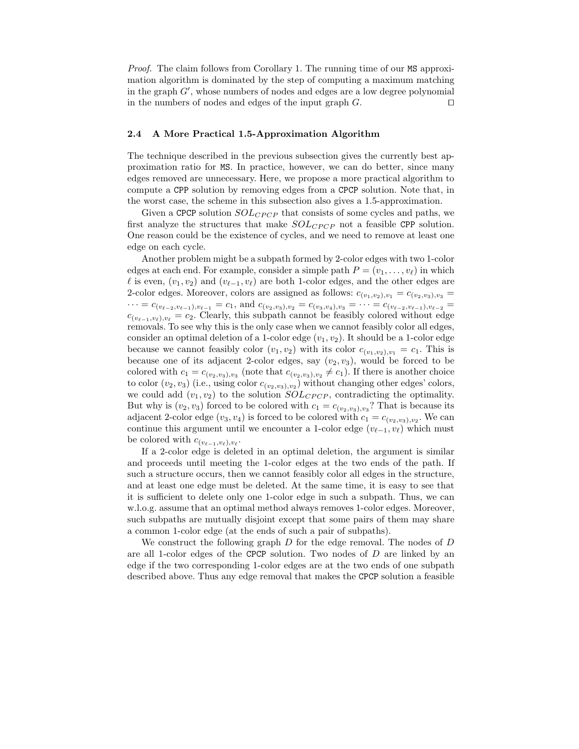Proof. The claim follows from Corollary 1. The running time of our MS approximation algorithm is dominated by the step of computing a maximum matching in the graph  $G'$ , whose numbers of nodes and edges are a low degree polynomial in the numbers of nodes and edges of the input graph  $G$ . □

#### 2.4 A More Practical 1.5-Approximation Algorithm

The technique described in the previous subsection gives the currently best approximation ratio for MS. In practice, however, we can do better, since many edges removed are unnecessary. Here, we propose a more practical algorithm to compute a CPP solution by removing edges from a CPCP solution. Note that, in the worst case, the scheme in this subsection also gives a 1.5-approximation.

Given a CPCP solution  $SOL_{CPCP}$  that consists of some cycles and paths, we first analyze the structures that make  $SOL_{CPCP}$  not a feasible CPP solution. One reason could be the existence of cycles, and we need to remove at least one edge on each cycle.

Another problem might be a subpath formed by 2-color edges with two 1-color edges at each end. For example, consider a simple path  $P = (v_1, \ldots, v_\ell)$  in which l is even,  $(v_1, v_2)$  and  $(v_{\ell-1}, v_{\ell})$  are both 1-color edges, and the other edges are 2-color edges. Moreover, colors are assigned as follows:  $c_{(v_1,v_2),v_1} = c_{(v_2,v_3),v_3}$  =  $\cdots = c_{(v_{\ell-2},v_{\ell-1}),v_{\ell-1}} = c_1$ , and  $c_{(v_2,v_3),v_2} = c_{(v_3,v_4),v_3} = \cdots = c_{(v_{\ell-2},v_{\ell-1}),v_{\ell-2}} =$  $c_{(v_{\ell-1},v_{\ell}),v_{\ell}}=c_2$ . Clearly, this subpath cannot be feasibly colored without edge removals. To see why this is the only case when we cannot feasibly color all edges, consider an optimal deletion of a 1-color edge  $(v_1, v_2)$ . It should be a 1-color edge because we cannot feasibly color  $(v_1, v_2)$  with its color  $c_{(v_1, v_2), v_1} = c_1$ . This is because one of its adjacent 2-color edges, say  $(v_2, v_3)$ , would be forced to be colored with  $c_1 = c_{(v_2, v_3), v_3}$  (note that  $c_{(v_2, v_3), v_2} \neq c_1$ ). If there is another choice to color  $(v_2, v_3)$  (i.e., using color  $c_{(v_2, v_3), v_2}$ ) without changing other edges' colors, we could add  $(v_1, v_2)$  to the solution  $SOL_{CPCP}$ , contradicting the optimality. But why is  $(v_2, v_3)$  forced to be colored with  $c_1 = c_{(v_2, v_3), v_3}$ ? That is because its adjacent 2-color edge  $(v_3, v_4)$  is forced to be colored with  $c_1 = c_{(v_2, v_3), v_2}$ . We can continue this argument until we encounter a 1-color edge  $(v_{\ell-1}, v_{\ell})$  which must be colored with  $c_{(v_{\ell-1}, v_{\ell}), v_{\ell}}$ .

If a 2-color edge is deleted in an optimal deletion, the argument is similar and proceeds until meeting the 1-color edges at the two ends of the path. If such a structure occurs, then we cannot feasibly color all edges in the structure, and at least one edge must be deleted. At the same time, it is easy to see that it is sufficient to delete only one 1-color edge in such a subpath. Thus, we can w.l.o.g. assume that an optimal method always removes 1-color edges. Moreover, such subpaths are mutually disjoint except that some pairs of them may share a common 1-color edge (at the ends of such a pair of subpaths).

We construct the following graph  $D$  for the edge removal. The nodes of  $D$ are all 1-color edges of the CPCP solution. Two nodes of D are linked by an edge if the two corresponding 1-color edges are at the two ends of one subpath described above. Thus any edge removal that makes the CPCP solution a feasible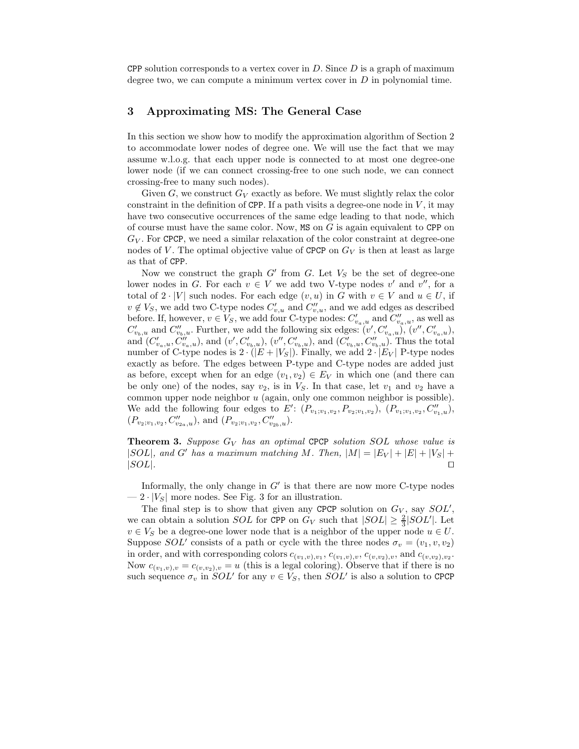CPP solution corresponds to a vertex cover in  $D$ . Since  $D$  is a graph of maximum degree two, we can compute a minimum vertex cover in  $D$  in polynomial time.

# 3 Approximating MS: The General Case

In this section we show how to modify the approximation algorithm of Section 2 to accommodate lower nodes of degree one. We will use the fact that we may assume w.l.o.g. that each upper node is connected to at most one degree-one lower node (if we can connect crossing-free to one such node, we can connect crossing-free to many such nodes).

Given G, we construct  $G_V$  exactly as before. We must slightly relax the color constraint in the definition of CPP. If a path visits a degree-one node in  $V$ , it may have two consecutive occurrences of the same edge leading to that node, which of course must have the same color. Now,  $MS$  on  $G$  is again equivalent to CPP on  $G_V$ . For CPCP, we need a similar relaxation of the color constraint at degree-one nodes of V. The optimal objective value of CPCP on  $G_V$  is then at least as large as that of CPP.

Now we construct the graph  $G'$  from  $G$ . Let  $V_S$  be the set of degree-one lower nodes in G. For each  $v \in V$  we add two V-type nodes  $v'$  and  $v''$ , for a total of  $2 \cdot |V|$  such nodes. For each edge  $(v, u)$  in G with  $v \in V$  and  $u \in U$ , if  $v \notin V_S$ , we add two C-type nodes  $C'_{v,u}$  and  $C''_{v,u}$ , and we add edges as described before. If, however,  $v \in V_S$ , we add four C-type nodes:  $C'_{v_a,u}$  and  $C''_{v_a,u}$ , as well as  $C'_{v_b,u}$  and  $C''_{v_b,u}$ . Further, we add the following six edges:  $(v', C'_{v_a,u})$ ,  $(v'', C'_{v_a,u})$ , and  $(C'_{v_a,u}, \check{C}''_{v_a,u})$ , and  $(v', C'_{v_b,u})$ ,  $(v'', C'_{v_b,u})$ , and  $(C'_{v_b,u}, C''_{v_b,u})$ . Thus the total number of C-type nodes is  $2 \cdot (|E + |V_S|)$ . Finally, we add  $2 \cdot |E_V|$  P-type nodes exactly as before. The edges between P-type and C-type nodes are added just as before, except when for an edge  $(v_1, v_2) \in E_V$  in which one (and there can be only one) of the nodes, say  $v_2$ , is in  $V_S$ . In that case, let  $v_1$  and  $v_2$  have a common upper node neighbor u (again, only one common neighbor is possible). We add the following four edges to E':  $(P_{v_1; v_1, v_2}, P_{v_2; v_1, v_2})$ ,  $(P_{v_1; v_1, v_2}, C''_{v_1, u})$ ,  $(P_{v_2; v_1, v_2}, C''_{v_{2a}, u}), \text{ and } (P_{v_2; v_1, v_2}, C''_{v_{2b}, u}).$ 

**Theorem 3.** Suppose  $G_V$  has an optimal CPCP solution  $SOL$  whose value is |SOL|, and G' has a maximum matching M. Then,  $|M| = |E_V| + |E| + |V_S| +$  $|SOL|.$ 

Informally, the only change in  $G'$  is that there are now more C-type nodes  $2 \cdot |V_S|$  more nodes. See Fig. 3 for an illustration.

The final step is to show that given any CPCP solution on  $G_V$ , say  $SOL'$ , we can obtain a solution  $SOL$  for CPP on  $G_V$  such that  $|SOL| \geq \frac{2}{3}|SOL'|$ . Let  $v \in V_S$  be a degree-one lower node that is a neighbor of the upper node  $u \in U$ . Suppose  $SOL'$  consists of a path or cycle with the three nodes  $\sigma_v = (v_1, v, v_2)$ in order, and with corresponding colors  $c_{(v_1,v),v_1}$ ,  $c_{(v_1,v),v}$ ,  $c_{(v,v_2),v}$ , and  $c_{(v,v_2),v_2}$ . Now  $c_{(v_1,v),v} = c_{(v,v_2),v} = u$  (this is a legal coloring). Observe that if there is no such sequence  $\sigma_v$  in  $SOL'$  for any  $v \in V_S$ , then  $SOL'$  is also a solution to CPCP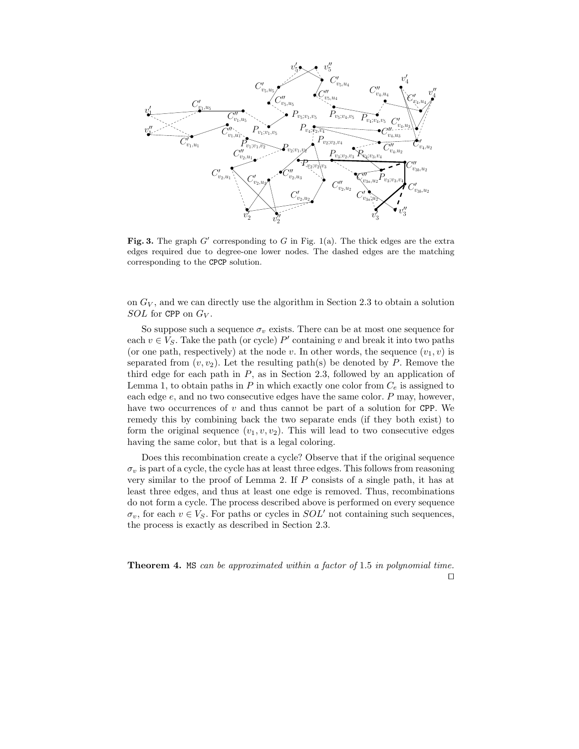

Fig. 3. The graph  $G'$  corresponding to G in Fig. 1(a). The thick edges are the extra edges required due to degree-one lower nodes. The dashed edges are the matching corresponding to the CPCP solution.

on  $G_V$ , and we can directly use the algorithm in Section 2.3 to obtain a solution SOL for CPP on  $G_V$ .

So suppose such a sequence  $\sigma_v$  exists. There can be at most one sequence for each  $v \in V_S$ . Take the path (or cycle)  $P'$  containing v and break it into two paths (or one path, respectively) at the node v. In other words, the sequence  $(v_1, v)$  is separated from  $(v, v_2)$ . Let the resulting path(s) be denoted by P. Remove the third edge for each path in  $P$ , as in Section 2.3, followed by an application of Lemma 1, to obtain paths in P in which exactly one color from  $C_e$  is assigned to each edge  $e$ , and no two consecutive edges have the same color.  $P$  may, however, have two occurrences of  $v$  and thus cannot be part of a solution for CPP. We remedy this by combining back the two separate ends (if they both exist) to form the original sequence  $(v_1, v, v_2)$ . This will lead to two consecutive edges having the same color, but that is a legal coloring.

Does this recombination create a cycle? Observe that if the original sequence  $\sigma_v$  is part of a cycle, the cycle has at least three edges. This follows from reasoning very similar to the proof of Lemma 2. If P consists of a single path, it has at least three edges, and thus at least one edge is removed. Thus, recombinations do not form a cycle. The process described above is performed on every sequence  $\sigma_v$ , for each  $v \in V_S$ . For paths or cycles in  $SOL'$  not containing such sequences, the process is exactly as described in Section 2.3.

Theorem 4. MS can be approximated within a factor of 1.5 in polynomial time. ⊓⊔